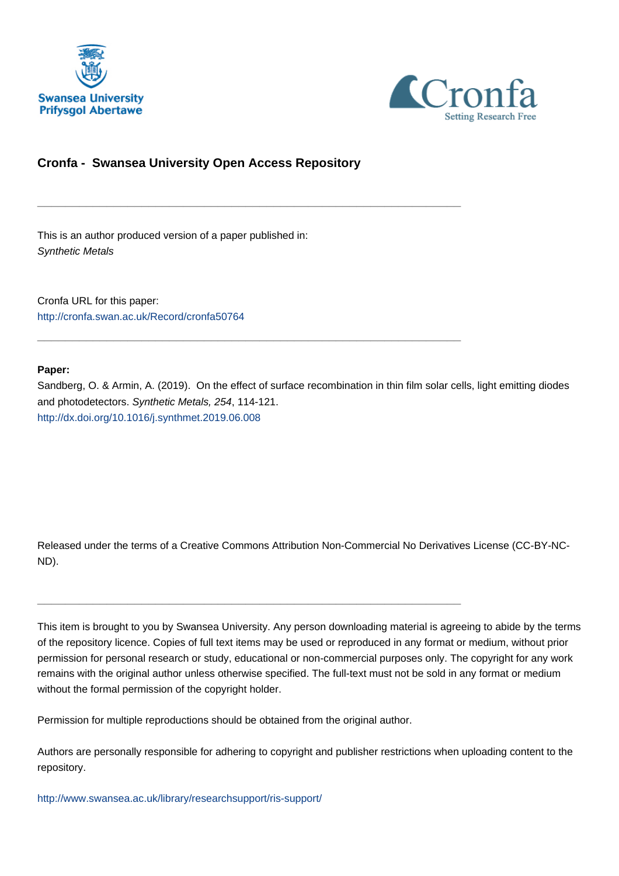



# **Cronfa - Swansea University Open Access Repository**

\_\_\_\_\_\_\_\_\_\_\_\_\_\_\_\_\_\_\_\_\_\_\_\_\_\_\_\_\_\_\_\_\_\_\_\_\_\_\_\_\_\_\_\_\_\_\_\_\_\_\_\_\_\_\_\_\_\_\_\_\_

\_\_\_\_\_\_\_\_\_\_\_\_\_\_\_\_\_\_\_\_\_\_\_\_\_\_\_\_\_\_\_\_\_\_\_\_\_\_\_\_\_\_\_\_\_\_\_\_\_\_\_\_\_\_\_\_\_\_\_\_\_

This is an author produced version of a paper published in: Synthetic Metals

Cronfa URL for this paper: <http://cronfa.swan.ac.uk/Record/cronfa50764>

### **Paper:**

Sandberg, O. & Armin, A. (2019). On the effect of surface recombination in thin film solar cells, light emitting diodes and photodetectors. Synthetic Metals, 254, 114-121. <http://dx.doi.org/10.1016/j.synthmet.2019.06.008>

Released under the terms of a Creative Commons Attribution Non-Commercial No Derivatives License (CC-BY-NC-ND).

This item is brought to you by Swansea University. Any person downloading material is agreeing to abide by the terms of the repository licence. Copies of full text items may be used or reproduced in any format or medium, without prior permission for personal research or study, educational or non-commercial purposes only. The copyright for any work remains with the original author unless otherwise specified. The full-text must not be sold in any format or medium without the formal permission of the copyright holder.

Permission for multiple reproductions should be obtained from the original author.

\_\_\_\_\_\_\_\_\_\_\_\_\_\_\_\_\_\_\_\_\_\_\_\_\_\_\_\_\_\_\_\_\_\_\_\_\_\_\_\_\_\_\_\_\_\_\_\_\_\_\_\_\_\_\_\_\_\_\_\_\_

Authors are personally responsible for adhering to copyright and publisher restrictions when uploading content to the repository.

[http://www.swansea.ac.uk/library/researchsupport/ris-support/](http://www.swansea.ac.uk/library/researchsupport/ris-support/ )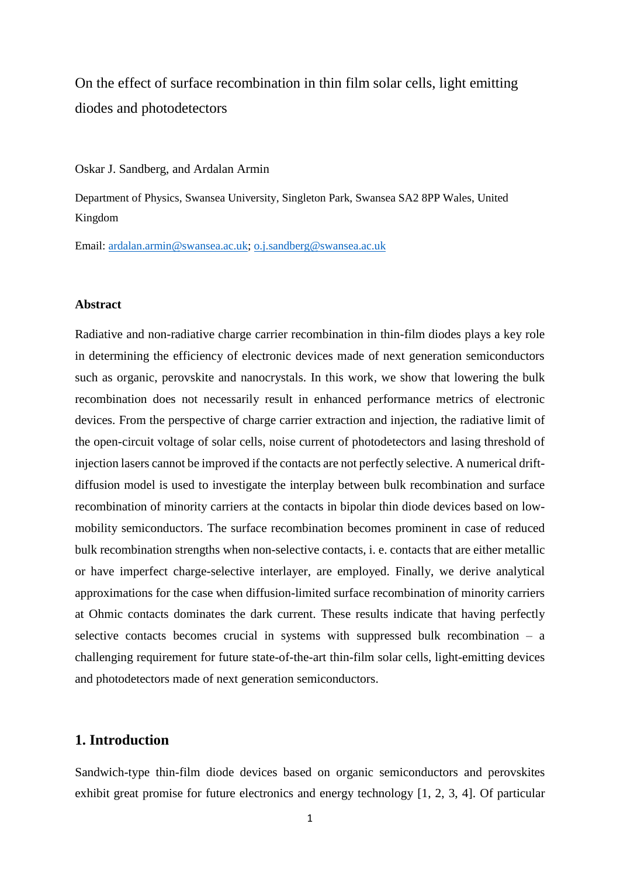On the effect of surface recombination in thin film solar cells, light emitting diodes and photodetectors

### Oskar J. Sandberg, and Ardalan Armin

Department of Physics, Swansea University, Singleton Park, Swansea SA2 8PP Wales, United Kingdom

Email: ardalan.armin@swansea.ac.uk; o.j.sandberg@swansea.ac.uk

## **Abstract**

Radiative and non-radiative charge carrier recombination in thin-film diodes plays a key role in determining the efficiency of electronic devices made of next generation semiconductors such as organic, perovskite and nanocrystals. In this work, we show that lowering the bulk recombination does not necessarily result in enhanced performance metrics of electronic devices. From the perspective of charge carrier extraction and injection, the radiative limit of the open-circuit voltage of solar cells, noise current of photodetectors and lasing threshold of injection lasers cannot be improved if the contacts are not perfectly selective. A numerical driftdiffusion model is used to investigate the interplay between bulk recombination and surface recombination of minority carriers at the contacts in bipolar thin diode devices based on lowmobility semiconductors. The surface recombination becomes prominent in case of reduced bulk recombination strengths when non-selective contacts, i. e. contacts that are either metallic or have imperfect charge-selective interlayer, are employed. Finally, we derive analytical approximations for the case when diffusion-limited surface recombination of minority carriers at Ohmic contacts dominates the dark current. These results indicate that having perfectly selective contacts becomes crucial in systems with suppressed bulk recombination – a challenging requirement for future state-of-the-art thin-film solar cells, light-emitting devices and photodetectors made of next generation semiconductors.

# **1. Introduction**

Sandwich-type thin-film diode devices based on organic semiconductors and perovskites exhibit great promise for future electronics and energy technology [1, 2, 3, 4]. Of particular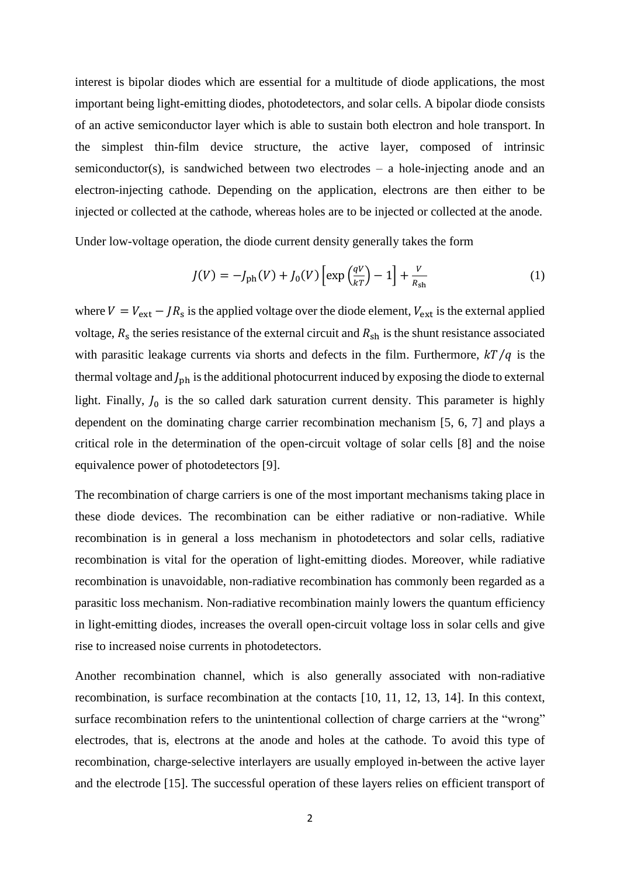interest is bipolar diodes which are essential for a multitude of diode applications, the most important being light-emitting diodes, photodetectors, and solar cells. A bipolar diode consists of an active semiconductor layer which is able to sustain both electron and hole transport. In the simplest thin-film device structure, the active layer, composed of intrinsic semiconductor(s), is sandwiched between two electrodes – a hole-injecting anode and an electron-injecting cathode. Depending on the application, electrons are then either to be injected or collected at the cathode, whereas holes are to be injected or collected at the anode.

Under low-voltage operation, the diode current density generally takes the form

$$
J(V) = -J_{\rm ph}(V) + J_0(V) \left[ \exp\left(\frac{qV}{kT}\right) - 1 \right] + \frac{V}{R_{\rm sh}} \tag{1}
$$

where  $V = V_{ext} - J R_s$  is the applied voltage over the diode element,  $V_{ext}$  is the external applied voltage,  $R_s$  the series resistance of the external circuit and  $R_{sh}$  is the shunt resistance associated with parasitic leakage currents via shorts and defects in the film. Furthermore,  $kT/q$  is the thermal voltage and  $J_{ph}$  is the additional photocurrent induced by exposing the diode to external light. Finally,  $J_0$  is the so called dark saturation current density. This parameter is highly dependent on the dominating charge carrier recombination mechanism [5, 6, 7] and plays a critical role in the determination of the open-circuit voltage of solar cells [8] and the noise equivalence power of photodetectors [9].

The recombination of charge carriers is one of the most important mechanisms taking place in these diode devices. The recombination can be either radiative or non-radiative. While recombination is in general a loss mechanism in photodetectors and solar cells, radiative recombination is vital for the operation of light-emitting diodes. Moreover, while radiative recombination is unavoidable, non-radiative recombination has commonly been regarded as a parasitic loss mechanism. Non-radiative recombination mainly lowers the quantum efficiency in light-emitting diodes, increases the overall open-circuit voltage loss in solar cells and give rise to increased noise currents in photodetectors.

Another recombination channel, which is also generally associated with non-radiative recombination, is surface recombination at the contacts [10, 11, 12, 13, 14]. In this context, surface recombination refers to the unintentional collection of charge carriers at the "wrong" electrodes, that is, electrons at the anode and holes at the cathode. To avoid this type of recombination, charge-selective interlayers are usually employed in-between the active layer and the electrode [15]. The successful operation of these layers relies on efficient transport of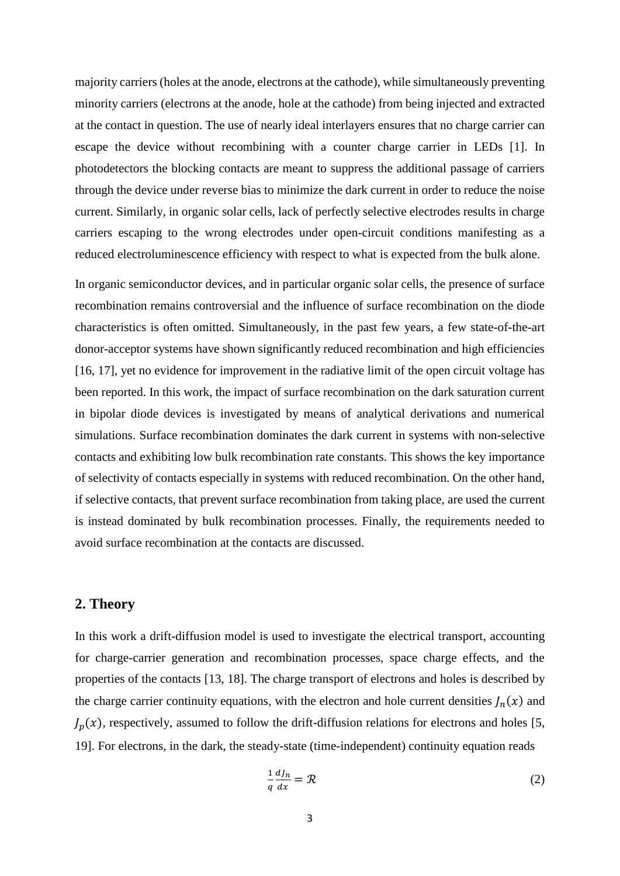majority carriers (holes at the anode, electrons at the cathode), while simultaneously preventing minority carriers (electrons at the anode, hole at the cathode) from being injected and extracted at the contact in question. The use of nearly ideal interlayers ensures that no charge carrier can escape the device without recombining with a counter charge carrier in LEDs [1]. In photodetectors the blocking contacts are meant to suppress the additional passage of carriers through the device under reverse bias to minimize the dark current in order to reduce the noise current. Similarly, in organic solar cells, lack of perfectly selective electrodes results in charge carriers escaping to the wrong electrodes under open-circuit conditions manifesting as a reduced electroluminescence efficiency with respect to what is expected from the bulk alone.

In organic semiconductor devices, and in particular organic solar cells, the presence of surface recombination remains controversial and the influence of surface recombination on the diode characteristics is often omitted. Simultaneously, in the past few years, a few state-of-the-art donor-acceptor systems have shown significantly reduced recombination and high efficiencies [16, 17], yet no evidence for improvement in the radiative limit of the open circuit voltage has been reported. In this work, the impact of surface recombination on the dark saturation current in bipolar diode devices is investigated by means of analytical derivations and numerical simulations. Surface recombination dominates the dark current in systems with non-selective contacts and exhibiting low bulk recombination rate constants. This shows the key importance of selectivity of contacts especially in systems with reduced recombination. On the other hand, if selective contacts, that prevent surface recombination from taking place, are used the current is instead dominated by bulk recombination processes. Finally, the requirements needed to avoid surface recombination at the contacts are discussed.

## **2. Theory**

In this work a drift-diffusion model is used to investigate the electrical transport, accounting for charge-carrier generation and recombination processes, space charge effects, and the properties of the contacts [13, 18]. The charge transport of electrons and holes is described by the charge carrier continuity equations, with the electron and hole current densities  $J_n(x)$  and  $J_p(x)$ , respectively, assumed to follow the drift-diffusion relations for electrons and holes [5, 19]. For electrons, in the dark, the steady-state (time-independent) continuity equation reads

$$
\frac{1}{q}\frac{dJ_n}{dx} = \mathcal{R}
$$
 (2)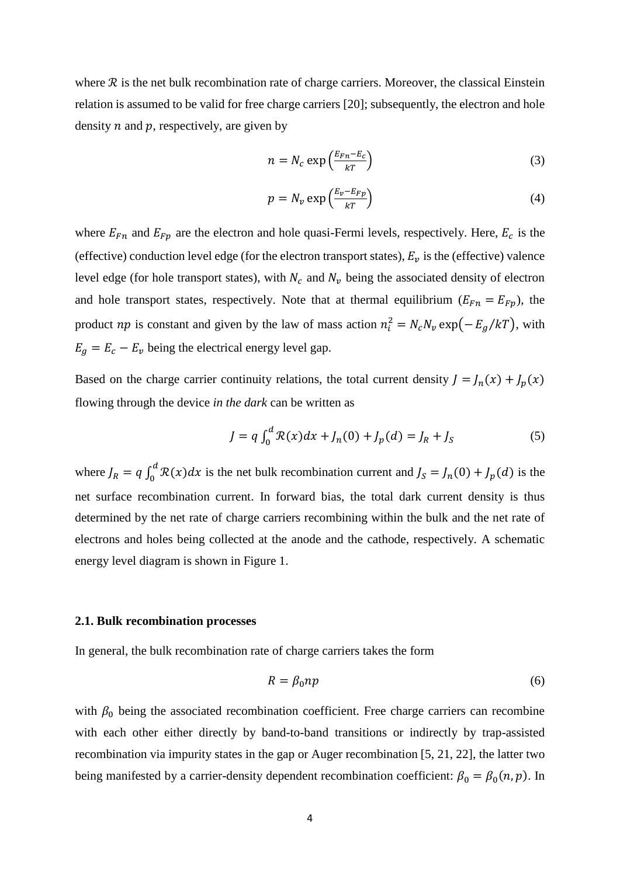where  $\mathcal R$  is the net bulk recombination rate of charge carriers. Moreover, the classical Einstein relation is assumed to be valid for free charge carriers [20]; subsequently, the electron and hole density  $n$  and  $p$ , respectively, are given by

$$
n = N_c \exp\left(\frac{E_{Fn} - E_c}{kT}\right) \tag{3}
$$

$$
p = N_v \exp\left(\frac{E_v - E_{Fp}}{kT}\right) \tag{4}
$$

where  $E_{Fn}$  and  $E_{Fp}$  are the electron and hole quasi-Fermi levels, respectively. Here,  $E_c$  is the (effective) conduction level edge (for the electron transport states),  $E_v$  is the (effective) valence level edge (for hole transport states), with  $N_c$  and  $N_v$  being the associated density of electron and hole transport states, respectively. Note that at thermal equilibrium ( $E_{Fn} = E_{Fp}$ ), the product *np* is constant and given by the law of mass action  $n_i^2 = N_c N_v \exp(-E_g/kT)$ , with  $E_a = E_c - E_v$  being the electrical energy level gap.

Based on the charge carrier continuity relations, the total current density  $J = J_n(x) + J_p(x)$ flowing through the device *in the dark* can be written as

$$
J = q \int_0^d \mathcal{R}(x) dx + J_n(0) + J_p(d) = J_R + J_S
$$
 (5)

where  $J_R = q \int_0^d R(x) dx$  is the net bulk recombination current and  $J_S = J_n(0) + J_p(d)$  is the net surface recombination current. In forward bias, the total dark current density is thus determined by the net rate of charge carriers recombining within the bulk and the net rate of electrons and holes being collected at the anode and the cathode, respectively. A schematic energy level diagram is shown in Figure 1.

## **2.1. Bulk recombination processes**

In general, the bulk recombination rate of charge carriers takes the form

$$
R = \beta_0 np \tag{6}
$$

with  $\beta_0$  being the associated recombination coefficient. Free charge carriers can recombine with each other either directly by band-to-band transitions or indirectly by trap-assisted recombination via impurity states in the gap or Auger recombination [5, 21, 22], the latter two being manifested by a carrier-density dependent recombination coefficient:  $\beta_0 = \beta_0(n, p)$ . In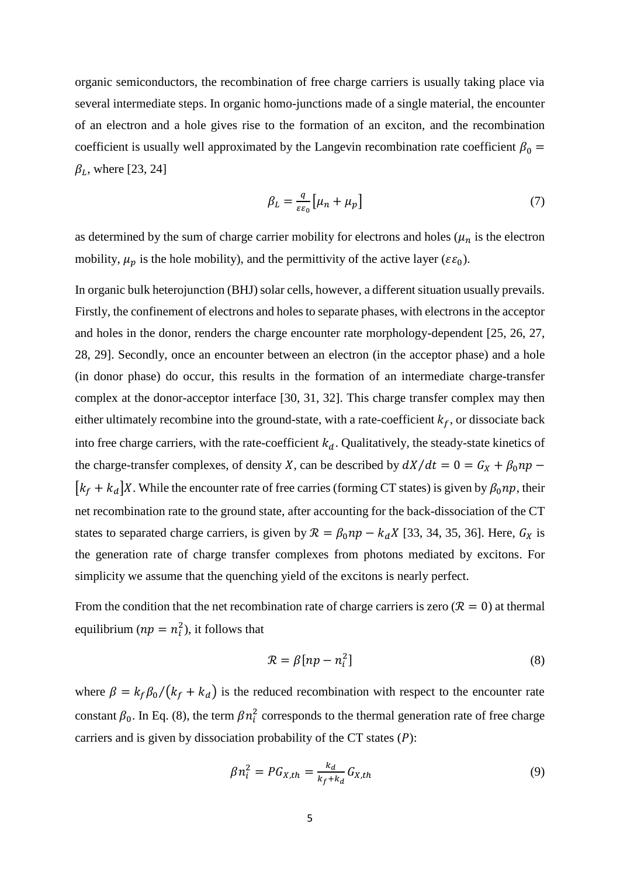organic semiconductors, the recombination of free charge carriers is usually taking place via several intermediate steps. In organic homo-junctions made of a single material, the encounter of an electron and a hole gives rise to the formation of an exciton, and the recombination coefficient is usually well approximated by the Langevin recombination rate coefficient  $\beta_0 =$  $\beta_L$ , where [23, 24]

$$
\beta_L = \frac{q}{\varepsilon \varepsilon_0} \left[ \mu_n + \mu_p \right] \tag{7}
$$

as determined by the sum of charge carrier mobility for electrons and holes ( $\mu_n$  is the electron mobility,  $\mu_p$  is the hole mobility), and the permittivity of the active layer ( $\varepsilon \varepsilon_0$ ).

In organic bulk heterojunction (BHJ) solar cells, however, a different situation usually prevails. Firstly, the confinement of electrons and holes to separate phases, with electrons in the acceptor and holes in the donor, renders the charge encounter rate morphology-dependent [25, 26, 27, 28, 29]. Secondly, once an encounter between an electron (in the acceptor phase) and a hole (in donor phase) do occur, this results in the formation of an intermediate charge-transfer complex at the donor-acceptor interface [30, 31, 32]. This charge transfer complex may then either ultimately recombine into the ground-state, with a rate-coefficient  $k_f$ , or dissociate back into free charge carriers, with the rate-coefficient  $k_d$ . Qualitatively, the steady-state kinetics of the charge-transfer complexes, of density X, can be described by  $dX/dt = 0 = G_X + \beta_0 np$  $[k_f + k_d]X$ . While the encounter rate of free carries (forming CT states) is given by  $\beta_0 np$ , their net recombination rate to the ground state, after accounting for the back-dissociation of the CT states to separated charge carriers, is given by  $\mathcal{R} = \beta_0 np - k_d X$  [33, 34, 35, 36]. Here,  $G_X$  is the generation rate of charge transfer complexes from photons mediated by excitons. For simplicity we assume that the quenching yield of the excitons is nearly perfect.

From the condition that the net recombination rate of charge carriers is zero ( $\mathcal{R} = 0$ ) at thermal equilibrium ( $np = n_i^2$ ), it follows that

$$
\mathcal{R} = \beta [np - n_i^2] \tag{8}
$$

where  $\beta = k_f \beta_0 / (k_f + k_d)$  is the reduced recombination with respect to the encounter rate constant  $\beta_0$ . In Eq. (8), the term  $\beta n_i^2$  corresponds to the thermal generation rate of free charge carriers and is given by dissociation probability of the CT states  $(P)$ :

$$
\beta n_i^2 = P G_{X,th} = \frac{k_d}{k_f + k_d} G_{X,th}
$$
\n<sup>(9)</sup>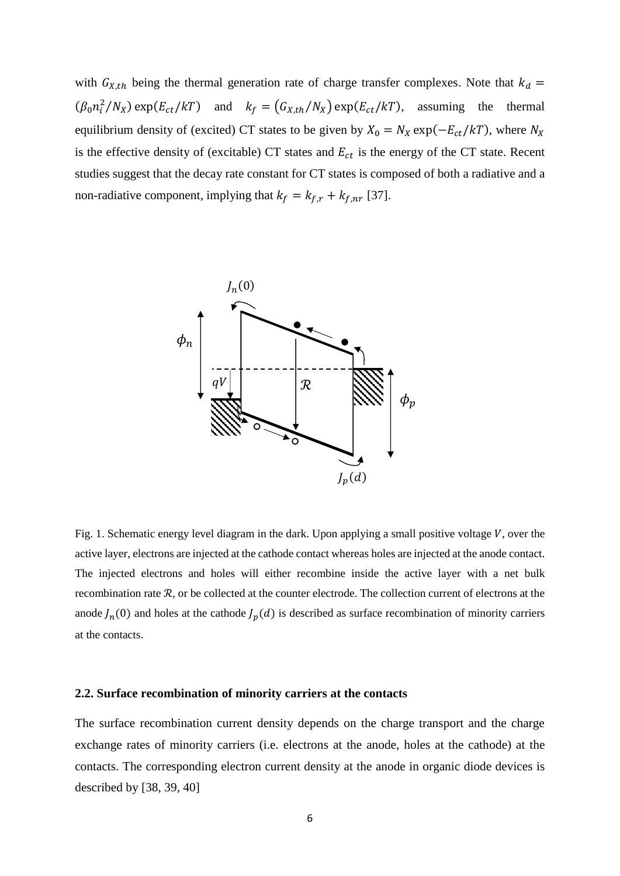with  $G_{X,th}$  being the thermal generation rate of charge transfer complexes. Note that  $k_d =$  $(\beta_0 n_i^2/N_X)$  exp( $E_{ct}/kT$ ) and  $k_f = (G_{X,th}/N_X)$  exp( $E_{ct}/kT$ ), assuming the thermal equilibrium density of (excited) CT states to be given by  $X_0 = N_X \exp(-E_{ct}/kT)$ , where  $N_X$ is the effective density of (excitable) CT states and  $E_{ct}$  is the energy of the CT state. Recent studies suggest that the decay rate constant for CT states is composed of both a radiative and a non-radiative component, implying that  $k_f = k_{f,r} + k_{f,nr}$  [37].



Fig. 1. Schematic energy level diagram in the dark. Upon applying a small positive voltage  $V$ , over the active layer, electrons are injected at the cathode contact whereas holes are injected at the anode contact. The injected electrons and holes will either recombine inside the active layer with a net bulk recombination rate  $R$ , or be collected at the counter electrode. The collection current of electrons at the anode  $J_n(0)$  and holes at the cathode  $J_p(d)$  is described as surface recombination of minority carriers at the contacts.

### **2.2. Surface recombination of minority carriers at the contacts**

The surface recombination current density depends on the charge transport and the charge exchange rates of minority carriers (i.e. electrons at the anode, holes at the cathode) at the contacts. The corresponding electron current density at the anode in organic diode devices is described by [38, 39, 40]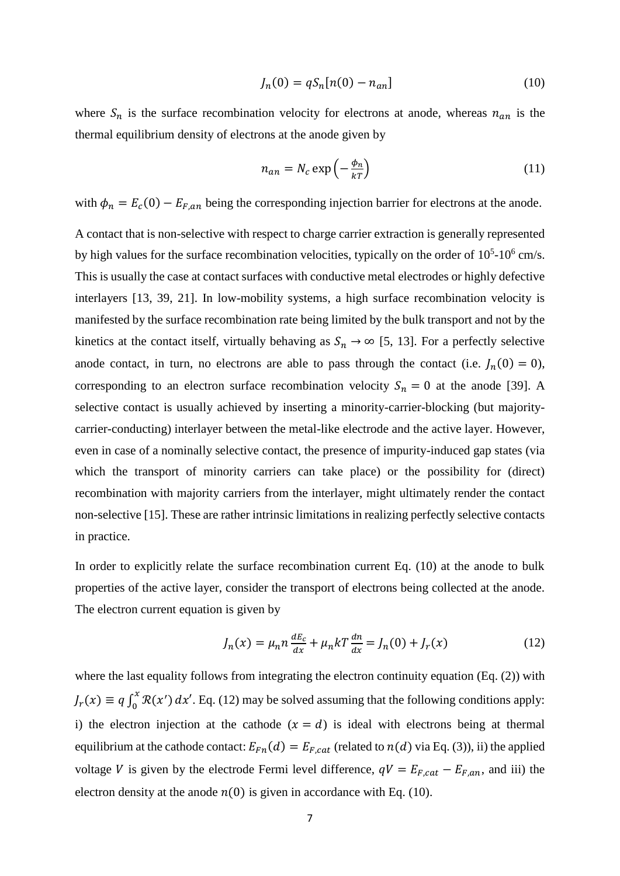$$
J_n(0) = qS_n[n(0) - n_{an}]
$$
\n(10)

where  $S_n$  is the surface recombination velocity for electrons at anode, whereas  $n_{an}$  is the thermal equilibrium density of electrons at the anode given by

$$
n_{an} = N_c \exp\left(-\frac{\phi_n}{kT}\right) \tag{11}
$$

with  $\phi_n = E_c(0) - E_{F,an}$  being the corresponding injection barrier for electrons at the anode.

A contact that is non-selective with respect to charge carrier extraction is generally represented by high values for the surface recombination velocities, typically on the order of  $10^5$ - $10^6$  cm/s. This is usually the case at contact surfaces with conductive metal electrodes or highly defective interlayers [13, 39, 21]. In low-mobility systems, a high surface recombination velocity is manifested by the surface recombination rate being limited by the bulk transport and not by the kinetics at the contact itself, virtually behaving as  $S_n \to \infty$  [5, 13]. For a perfectly selective anode contact, in turn, no electrons are able to pass through the contact (i.e.  $J_n(0) = 0$ ), corresponding to an electron surface recombination velocity  $S_n = 0$  at the anode [39]. A selective contact is usually achieved by inserting a minority-carrier-blocking (but majoritycarrier-conducting) interlayer between the metal-like electrode and the active layer. However, even in case of a nominally selective contact, the presence of impurity-induced gap states (via which the transport of minority carriers can take place) or the possibility for (direct) recombination with majority carriers from the interlayer, might ultimately render the contact non-selective [15]. These are rather intrinsic limitations in realizing perfectly selective contacts in practice.

In order to explicitly relate the surface recombination current Eq. (10) at the anode to bulk properties of the active layer, consider the transport of electrons being collected at the anode. The electron current equation is given by

$$
J_n(x) = \mu_n n \frac{dE_c}{dx} + \mu_n k T \frac{dn}{dx} = J_n(0) + J_r(x)
$$
 (12)

where the last equality follows from integrating the electron continuity equation (Eq. (2)) with  $J_r(x) \equiv q \int_0^x \mathcal{R}(x')$  $\int_0^{\infty} \mathcal{R}(x') dx'$ . Eq. (12) may be solved assuming that the following conditions apply: i) the electron injection at the cathode  $(x = d)$  is ideal with electrons being at thermal equilibrium at the cathode contact:  $E_{Fn}(d) = E_{F, cat}$  (related to  $n(d)$  via Eq. (3)), ii) the applied voltage V is given by the electrode Fermi level difference,  $qV = E_{F, cat} - E_{F, an}$ , and iii) the electron density at the anode  $n(0)$  is given in accordance with Eq. (10).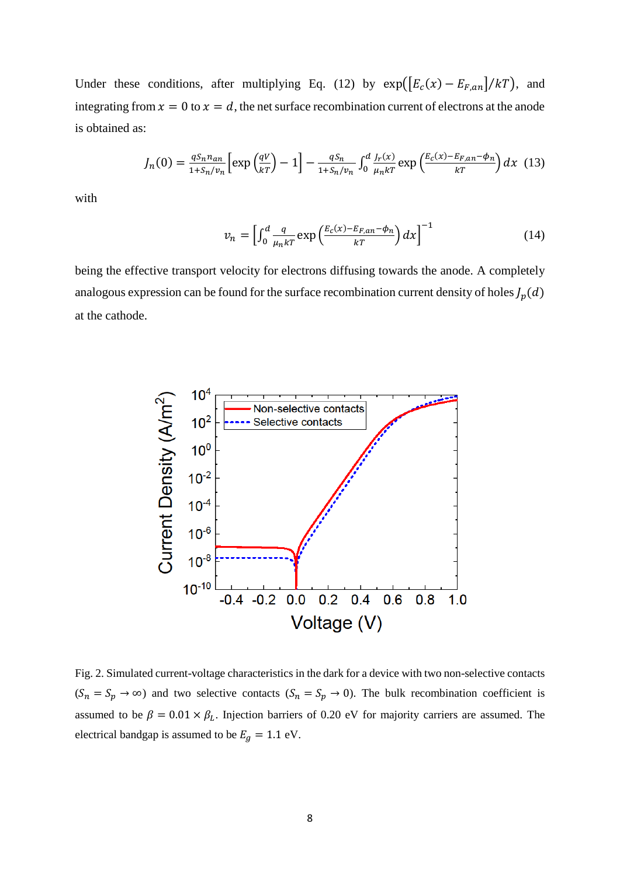Under these conditions, after multiplying Eq. (12) by  $\exp([E_c(x) - E_{F,an}]/kT)$ , and integrating from  $x = 0$  to  $x = d$ , the net surface recombination current of electrons at the anode is obtained as:

$$
J_n(0) = \frac{qS_n n_{an}}{1 + S_n / v_n} \left[ \exp\left(\frac{qV}{kT}\right) - 1 \right] - \frac{qS_n}{1 + S_n / v_n} \int_0^d \frac{J_r(x)}{\mu_n kT} \exp\left(\frac{E_c(x) - E_{F,an} - \phi_n}{kT}\right) dx \tag{13}
$$

with

$$
v_n = \left[\int_0^d \frac{q}{\mu_n kT} \exp\left(\frac{E_c(x) - E_{F,an} - \phi_n}{kT}\right) dx\right]^{-1} \tag{14}
$$

being the effective transport velocity for electrons diffusing towards the anode. A completely analogous expression can be found for the surface recombination current density of holes  $J_p(d)$ at the cathode.



Fig. 2. Simulated current-voltage characteristics in the dark for a device with two non-selective contacts  $(S_n = S_p \to \infty)$  and two selective contacts  $(S_n = S_p \to 0)$ . The bulk recombination coefficient is assumed to be  $\beta = 0.01 \times \beta_L$ . Injection barriers of 0.20 eV for majority carriers are assumed. The electrical bandgap is assumed to be  $E_g = 1.1$  eV.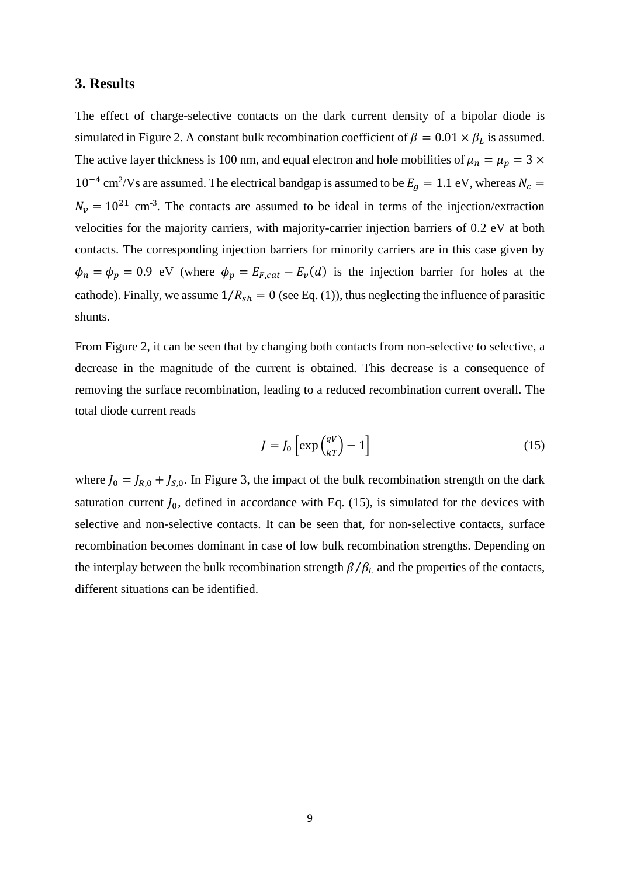## **3. Results**

The effect of charge-selective contacts on the dark current density of a bipolar diode is simulated in Figure 2. A constant bulk recombination coefficient of  $\beta = 0.01 \times \beta_L$  is assumed. The active layer thickness is 100 nm, and equal electron and hole mobilities of  $\mu_n = \mu_p = 3 \times$  $10^{-4}$  cm<sup>2</sup>/Vs are assumed. The electrical bandgap is assumed to be  $E_g = 1.1$  eV, whereas  $N_c =$  $N_v = 10^{21}$  cm<sup>-3</sup>. The contacts are assumed to be ideal in terms of the injection/extraction velocities for the majority carriers, with majority-carrier injection barriers of 0.2 eV at both contacts. The corresponding injection barriers for minority carriers are in this case given by  $\phi_n = \phi_p = 0.9$  eV (where  $\phi_p = E_{F, cat} - E_v(d)$  is the injection barrier for holes at the cathode). Finally, we assume  $1/R_{sh} = 0$  (see Eq. (1)), thus neglecting the influence of parasitic shunts.

From Figure 2, it can be seen that by changing both contacts from non-selective to selective, a decrease in the magnitude of the current is obtained. This decrease is a consequence of removing the surface recombination, leading to a reduced recombination current overall. The total diode current reads

$$
J = J_0 \left[ \exp\left(\frac{qV}{kT}\right) - 1 \right] \tag{15}
$$

where  $J_0 = J_{R,0} + J_{S,0}$ . In Figure 3, the impact of the bulk recombination strength on the dark saturation current  $J_0$ , defined in accordance with Eq. (15), is simulated for the devices with selective and non-selective contacts. It can be seen that, for non-selective contacts, surface recombination becomes dominant in case of low bulk recombination strengths. Depending on the interplay between the bulk recombination strength  $\beta/\beta_L$  and the properties of the contacts, different situations can be identified.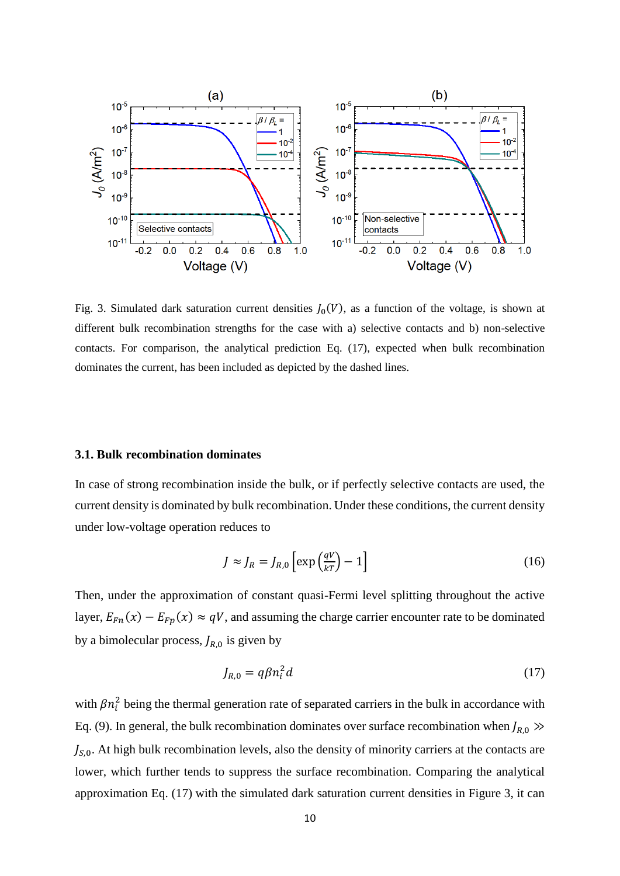

Fig. 3. Simulated dark saturation current densities  $J_0(V)$ , as a function of the voltage, is shown at different bulk recombination strengths for the case with a) selective contacts and b) non-selective contacts. For comparison, the analytical prediction Eq. (17), expected when bulk recombination dominates the current, has been included as depicted by the dashed lines.

#### **3.1. Bulk recombination dominates**

In case of strong recombination inside the bulk, or if perfectly selective contacts are used, the current density is dominated by bulk recombination. Under these conditions, the current density under low-voltage operation reduces to

$$
J \approx J_R = J_{R,0} \left[ \exp\left(\frac{qV}{kT}\right) - 1 \right]
$$
 (16)

Then, under the approximation of constant quasi-Fermi level splitting throughout the active layer,  $E_{Fn}(x) - E_{Fp}(x) \approx qV$ , and assuming the charge carrier encounter rate to be dominated by a bimolecular process,  $J_{R,0}$  is given by

$$
J_{R,0} = q\beta n_i^2 d \tag{17}
$$

with  $\beta n_i^2$  being the thermal generation rate of separated carriers in the bulk in accordance with Eq. (9). In general, the bulk recombination dominates over surface recombination when  $J_{R,0} \gg$  $J_{s,0}$ . At high bulk recombination levels, also the density of minority carriers at the contacts are lower, which further tends to suppress the surface recombination. Comparing the analytical approximation Eq. (17) with the simulated dark saturation current densities in Figure 3, it can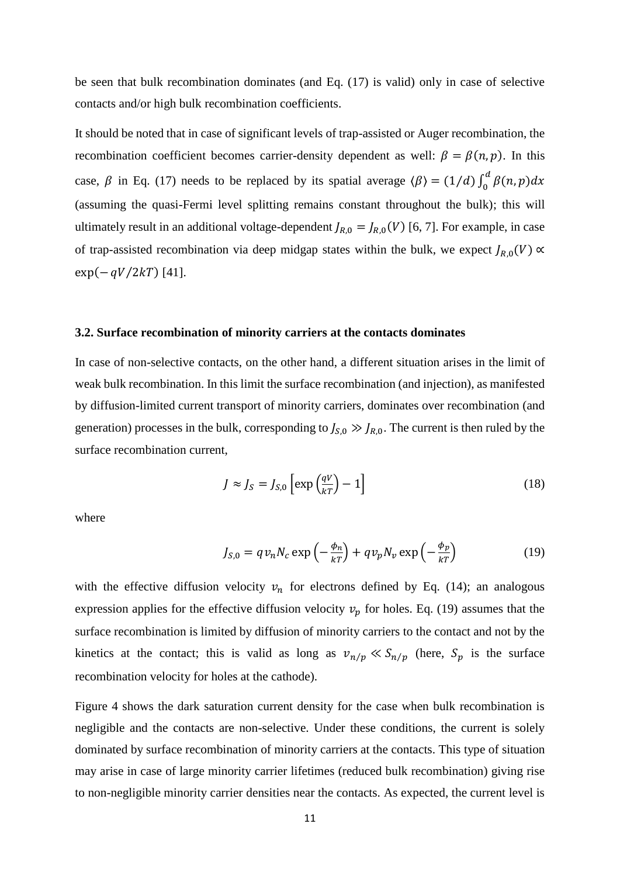be seen that bulk recombination dominates (and Eq. (17) is valid) only in case of selective contacts and/or high bulk recombination coefficients.

It should be noted that in case of significant levels of trap-assisted or Auger recombination, the recombination coefficient becomes carrier-density dependent as well:  $\beta = \beta(n, p)$ . In this case,  $\beta$  in Eq. (17) needs to be replaced by its spatial average  $\langle \beta \rangle = (1/d) \int_0^d \beta(n, p) dx$ (assuming the quasi-Fermi level splitting remains constant throughout the bulk); this will ultimately result in an additional voltage-dependent  $J_{R,0} = J_{R,0}(V)$  [6, 7]. For example, in case of trap-assisted recombination via deep midgap states within the bulk, we expect  $J_{R,0}(V) \propto$  $\exp(-qV/2kT)$  [41].

#### **3.2. Surface recombination of minority carriers at the contacts dominates**

In case of non-selective contacts, on the other hand, a different situation arises in the limit of weak bulk recombination. In this limit the surface recombination (and injection), as manifested by diffusion-limited current transport of minority carriers, dominates over recombination (and generation) processes in the bulk, corresponding to  $J_{S,0} \gg J_{R,0}$ . The current is then ruled by the surface recombination current,

$$
J \approx J_S = J_{S,0} \left[ \exp\left(\frac{qV}{kT}\right) - 1 \right]
$$
 (18)

where

$$
J_{S,0} = qv_n N_c \exp\left(-\frac{\phi_n}{kT}\right) + qv_p N_v \exp\left(-\frac{\phi_p}{kT}\right) \tag{19}
$$

with the effective diffusion velocity  $v_n$  for electrons defined by Eq. (14); an analogous expression applies for the effective diffusion velocity  $v_p$  for holes. Eq. (19) assumes that the surface recombination is limited by diffusion of minority carriers to the contact and not by the kinetics at the contact; this is valid as long as  $v_{n/p} \ll S_{n/p}$  (here,  $S_p$  is the surface recombination velocity for holes at the cathode).

Figure 4 shows the dark saturation current density for the case when bulk recombination is negligible and the contacts are non-selective. Under these conditions, the current is solely dominated by surface recombination of minority carriers at the contacts. This type of situation may arise in case of large minority carrier lifetimes (reduced bulk recombination) giving rise to non-negligible minority carrier densities near the contacts. As expected, the current level is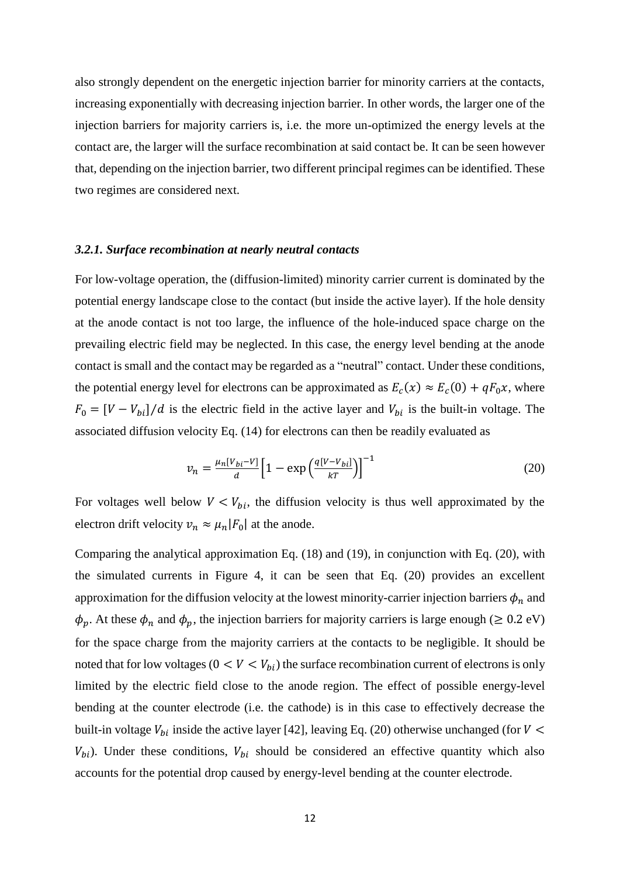also strongly dependent on the energetic injection barrier for minority carriers at the contacts, increasing exponentially with decreasing injection barrier. In other words, the larger one of the injection barriers for majority carriers is, i.e. the more un-optimized the energy levels at the contact are, the larger will the surface recombination at said contact be. It can be seen however that, depending on the injection barrier, two different principal regimes can be identified. These two regimes are considered next.

### *3.2.1. Surface recombination at nearly neutral contacts*

For low-voltage operation, the (diffusion-limited) minority carrier current is dominated by the potential energy landscape close to the contact (but inside the active layer). If the hole density at the anode contact is not too large, the influence of the hole-induced space charge on the prevailing electric field may be neglected. In this case, the energy level bending at the anode contact is small and the contact may be regarded as a "neutral" contact. Under these conditions, the potential energy level for electrons can be approximated as  $E_c(x) \approx E_c(0) + qF_0x$ , where  $F_0 = [V - V_{bi}]/d$  is the electric field in the active layer and  $V_{bi}$  is the built-in voltage. The associated diffusion velocity Eq. (14) for electrons can then be readily evaluated as

$$
v_n = \frac{\mu_n [v_{bi} - v]}{d} \left[ 1 - \exp\left(\frac{q[v - v_{bi}]}{kT}\right) \right]^{-1} \tag{20}
$$

For voltages well below  $V < V_{bi}$ , the diffusion velocity is thus well approximated by the electron drift velocity  $v_n \approx \mu_n |F_0|$  at the anode.

Comparing the analytical approximation Eq. (18) and (19), in conjunction with Eq. (20), with the simulated currents in Figure 4, it can be seen that Eq. (20) provides an excellent approximation for the diffusion velocity at the lowest minority-carrier injection barriers  $\phi_n$  and  $\phi_p$ . At these  $\phi_n$  and  $\phi_p$ , the injection barriers for majority carriers is large enough ( $\geq 0.2$  eV) for the space charge from the majority carriers at the contacts to be negligible. It should be noted that for low voltages  $(0 < V < V_{bi})$  the surface recombination current of electrons is only limited by the electric field close to the anode region. The effect of possible energy-level bending at the counter electrode (i.e. the cathode) is in this case to effectively decrease the built-in voltage  $V_{bi}$  inside the active layer [42], leaving Eq. (20) otherwise unchanged (for  $V$  <  $V_{bi}$ ). Under these conditions,  $V_{bi}$  should be considered an effective quantity which also accounts for the potential drop caused by energy-level bending at the counter electrode.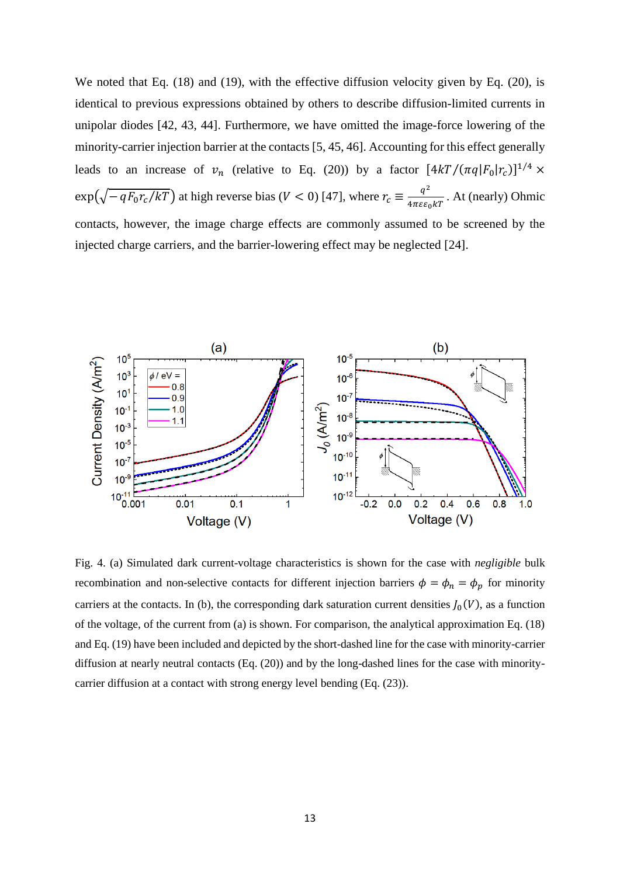We noted that Eq. (18) and (19), with the effective diffusion velocity given by Eq. (20), is identical to previous expressions obtained by others to describe diffusion-limited currents in unipolar diodes [42, 43, 44]. Furthermore, we have omitted the image-force lowering of the minority-carrier injection barrier at the contacts [5, 45, 46]. Accounting for this effect generally leads to an increase of  $v_n$  (relative to Eq. (20)) by a factor  $[4kT/(\pi q|F_0|r_c)]^{1/4} \times$  $\exp(\sqrt{-qF_0r_c/kT})$  at high reverse bias (V < 0) [47], where  $r_c \equiv \frac{q^2}{4\pi\epsilon\epsilon}$  $\frac{q}{4\pi\epsilon\epsilon_0 kT}$ . At (nearly) Ohmic contacts, however, the image charge effects are commonly assumed to be screened by the injected charge carriers, and the barrier-lowering effect may be neglected [24].



Fig. 4. (a) Simulated dark current-voltage characteristics is shown for the case with *negligible* bulk recombination and non-selective contacts for different injection barriers  $\phi = \phi_n = \phi_p$  for minority carriers at the contacts. In (b), the corresponding dark saturation current densities  $J_0(V)$ , as a function of the voltage, of the current from (a) is shown. For comparison, the analytical approximation Eq. (18) and Eq. (19) have been included and depicted by the short-dashed line for the case with minority-carrier diffusion at nearly neutral contacts (Eq. (20)) and by the long-dashed lines for the case with minoritycarrier diffusion at a contact with strong energy level bending (Eq. (23)).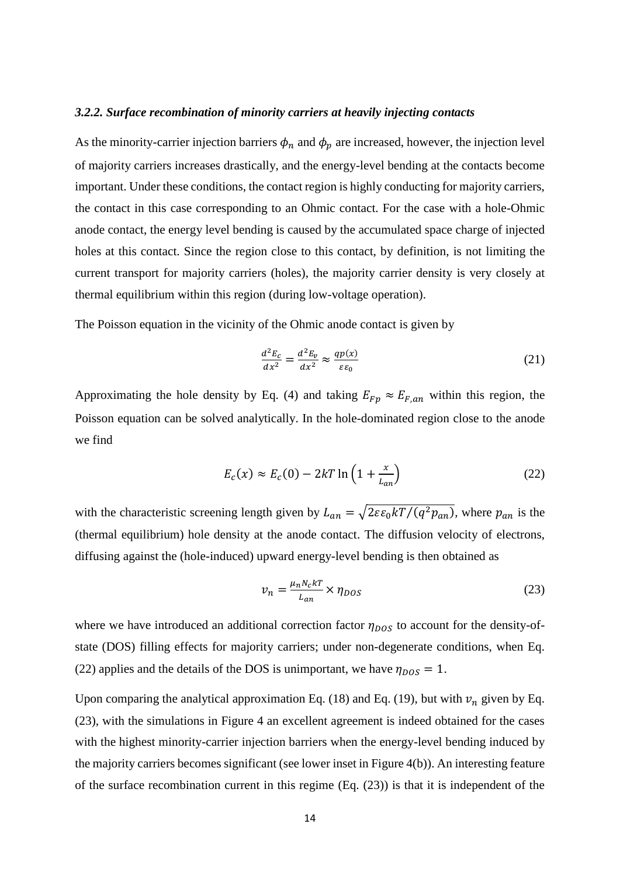### *3.2.2. Surface recombination of minority carriers at heavily injecting contacts*

As the minority-carrier injection barriers  $\phi_n$  and  $\phi_p$  are increased, however, the injection level of majority carriers increases drastically, and the energy-level bending at the contacts become important. Under these conditions, the contact region is highly conducting for majority carriers, the contact in this case corresponding to an Ohmic contact. For the case with a hole-Ohmic anode contact, the energy level bending is caused by the accumulated space charge of injected holes at this contact. Since the region close to this contact, by definition, is not limiting the current transport for majority carriers (holes), the majority carrier density is very closely at thermal equilibrium within this region (during low-voltage operation).

The Poisson equation in the vicinity of the Ohmic anode contact is given by

$$
\frac{d^2E_c}{dx^2} = \frac{d^2E_v}{dx^2} \approx \frac{qp(x)}{\varepsilon\varepsilon_0} \tag{21}
$$

Approximating the hole density by Eq. (4) and taking  $E_{F_p} \approx E_{F,an}$  within this region, the Poisson equation can be solved analytically. In the hole-dominated region close to the anode we find

$$
E_c(x) \approx E_c(0) - 2kT \ln\left(1 + \frac{x}{L_{an}}\right) \tag{22}
$$

with the characteristic screening length given by  $L_{an} = \sqrt{2\varepsilon \varepsilon_0 kT/(q^2 p_{an})}$ , where  $p_{an}$  is the (thermal equilibrium) hole density at the anode contact. The diffusion velocity of electrons, diffusing against the (hole-induced) upward energy-level bending is then obtained as

$$
v_n = \frac{\mu_n N_c kT}{L_{an}} \times \eta_{DOS} \tag{23}
$$

where we have introduced an additional correction factor  $\eta_{DOS}$  to account for the density-ofstate (DOS) filling effects for majority carriers; under non-degenerate conditions, when Eq. (22) applies and the details of the DOS is unimportant, we have  $\eta_{DOS} = 1$ .

Upon comparing the analytical approximation Eq. (18) and Eq. (19), but with  $v_n$  given by Eq. (23), with the simulations in Figure 4 an excellent agreement is indeed obtained for the cases with the highest minority-carrier injection barriers when the energy-level bending induced by the majority carriers becomes significant (see lower inset in Figure 4(b)). An interesting feature of the surface recombination current in this regime (Eq. (23)) is that it is independent of the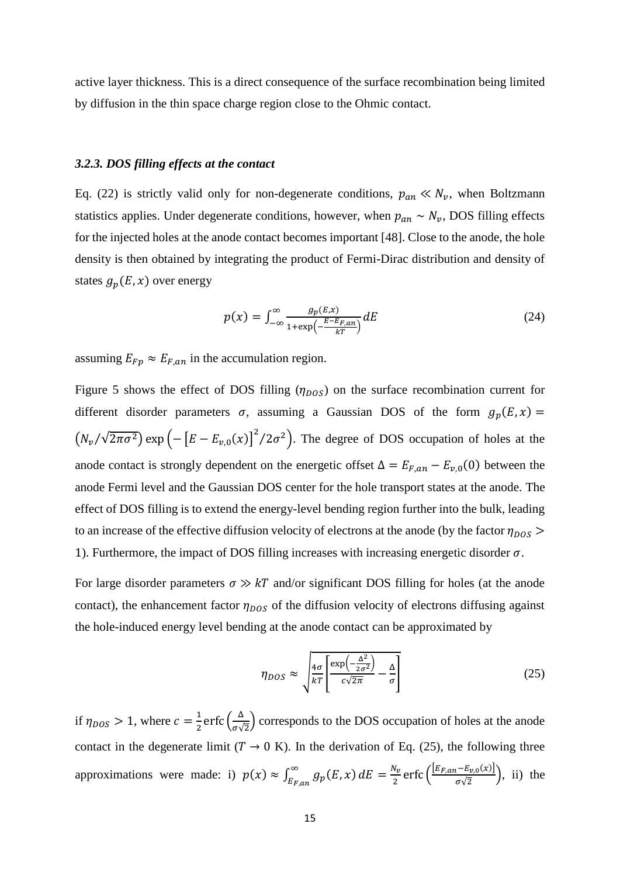active layer thickness. This is a direct consequence of the surface recombination being limited by diffusion in the thin space charge region close to the Ohmic contact.

#### *3.2.3. DOS filling effects at the contact*

Eq. (22) is strictly valid only for non-degenerate conditions,  $p_{an} \ll N_v$ , when Boltzmann statistics applies. Under degenerate conditions, however, when  $p_{an} \sim N_{\nu}$ , DOS filling effects for the injected holes at the anode contact becomes important [48]. Close to the anode, the hole density is then obtained by integrating the product of Fermi-Dirac distribution and density of states  $g_p(E, x)$  over energy

$$
p(x) = \int_{-\infty}^{\infty} \frac{g_p(E, x)}{1 + \exp\left(-\frac{E - E_{F, an}}{kT}\right)} dE \tag{24}
$$

assuming  $E_{Fp} \approx E_{F,an}$  in the accumulation region.

Figure 5 shows the effect of DOS filling  $(\eta_{DOS})$  on the surface recombination current for different disorder parameters  $\sigma$ , assuming a Gaussian DOS of the form  $g_p(E, x) =$  $(N_v/\sqrt{2\pi\sigma^2})$  exp  $\left(-\left[E - E_{v,0}(x)\right]^2/2\sigma^2\right)$ . The degree of DOS occupation of holes at the anode contact is strongly dependent on the energetic offset  $\Delta = E_{F,an} - E_{v,0}(0)$  between the anode Fermi level and the Gaussian DOS center for the hole transport states at the anode. The effect of DOS filling is to extend the energy-level bending region further into the bulk, leading to an increase of the effective diffusion velocity of electrons at the anode (by the factor  $\eta_{DOS}$ ) 1). Furthermore, the impact of DOS filling increases with increasing energetic disorder  $\sigma$ .

For large disorder parameters  $\sigma \gg kT$  and/or significant DOS filling for holes (at the anode contact), the enhancement factor  $\eta_{DOS}$  of the diffusion velocity of electrons diffusing against the hole-induced energy level bending at the anode contact can be approximated by

$$
\eta_{DOS} \approx \sqrt{\frac{4\sigma}{kT} \left[ \frac{\exp\left(-\frac{\Delta^2}{2\sigma^2}\right)}{c\sqrt{2\pi}} - \frac{\Delta}{\sigma} \right]}
$$
(25)

if  $\eta_{DOS} > 1$ , where  $c = \frac{1}{2}$  $\frac{1}{2}$ erfc $\left(\frac{\Delta}{\sigma\sqrt{2}}\right)$  $\frac{\Delta}{\sigma\sqrt{2}}$  corresponds to the DOS occupation of holes at the anode contact in the degenerate limit ( $T \rightarrow 0$  K). In the derivation of Eq. (25), the following three approximations were made: i)  $p(x) \approx \int_{E_{E}}^{\infty} g_p(E, x)$  $\int_{E_{F,an}}^{\infty} g_p(E,x) dE = \frac{N_v}{2}$  $\frac{N_v}{2}$  erfc  $\left(\frac{[E_{F,an}-E_{v,0}(x)]}{\sigma\sqrt{2}}\right)$  $\frac{\partial^2 u}{\partial \sqrt{2}}$ , ii) the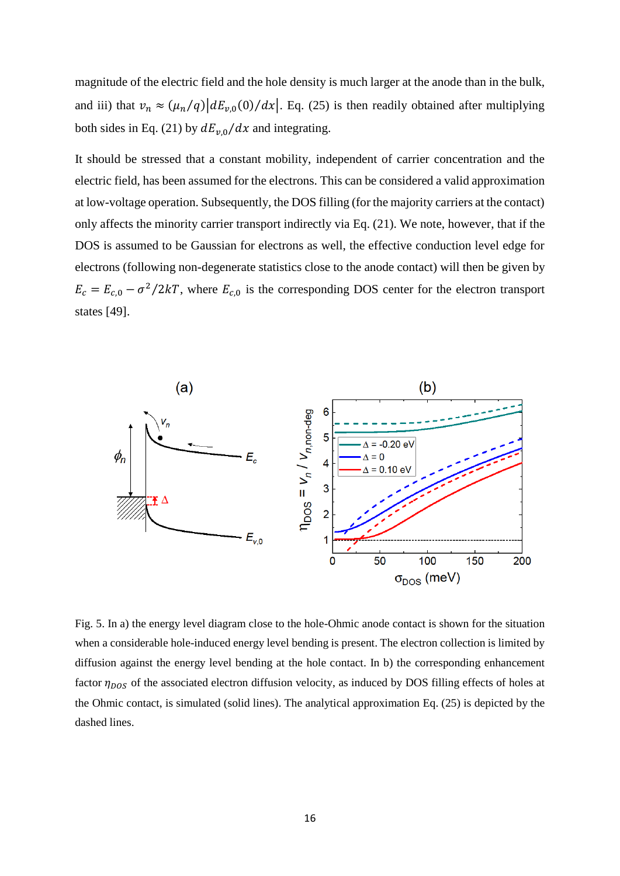magnitude of the electric field and the hole density is much larger at the anode than in the bulk, and iii) that  $v_n \approx (\mu_n/q) |dE_{\nu,0}(0)/dx|$ . Eq. (25) is then readily obtained after multiplying both sides in Eq. (21) by  $dE_{\nu,0}/dx$  and integrating.

It should be stressed that a constant mobility, independent of carrier concentration and the electric field, has been assumed for the electrons. This can be considered a valid approximation at low-voltage operation. Subsequently, the DOS filling (for the majority carriers at the contact) only affects the minority carrier transport indirectly via Eq. (21). We note, however, that if the DOS is assumed to be Gaussian for electrons as well, the effective conduction level edge for electrons (following non-degenerate statistics close to the anode contact) will then be given by  $E_c = E_{c,0} - \sigma^2/2kT$ , where  $E_{c,0}$  is the corresponding DOS center for the electron transport states [49].



Fig. 5. In a) the energy level diagram close to the hole-Ohmic anode contact is shown for the situation when a considerable hole-induced energy level bending is present. The electron collection is limited by diffusion against the energy level bending at the hole contact. In b) the corresponding enhancement factor  $\eta_{DOS}$  of the associated electron diffusion velocity, as induced by DOS filling effects of holes at the Ohmic contact, is simulated (solid lines). The analytical approximation Eq. (25) is depicted by the dashed lines.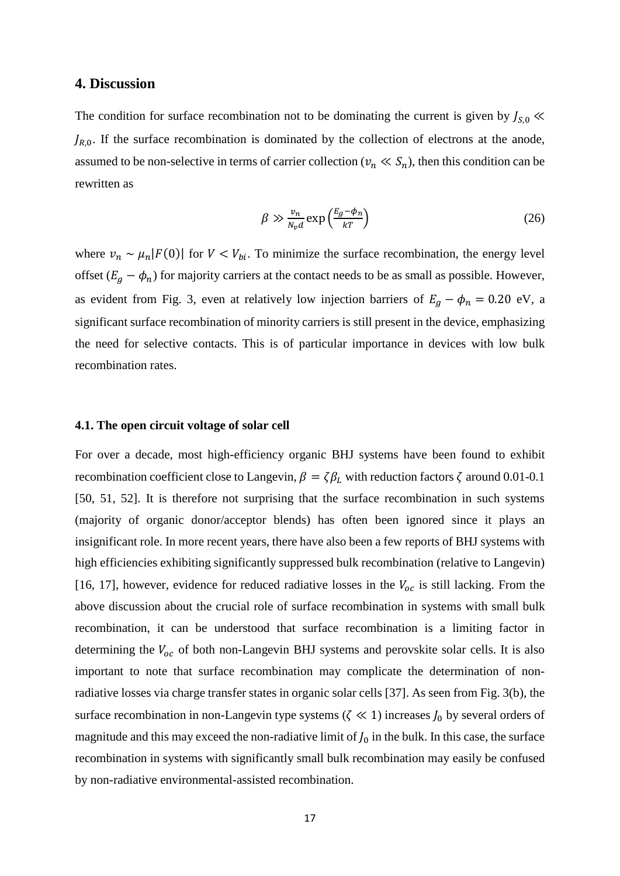## **4. Discussion**

The condition for surface recombination not to be dominating the current is given by  $J_{s,0}$   $\ll$  $J_{R,0}$ . If the surface recombination is dominated by the collection of electrons at the anode, assumed to be non-selective in terms of carrier collection ( $v_n \ll S_n$ ), then this condition can be rewritten as

$$
\beta \gg \frac{v_n}{N_v d} \exp\left(\frac{E_g - \phi_n}{kT}\right) \tag{26}
$$

where  $v_n \sim \mu_n |F(0)|$  for  $V < V_{bi}$ . To minimize the surface recombination, the energy level offset  $(E_g - \phi_n)$  for majority carriers at the contact needs to be as small as possible. However, as evident from Fig. 3, even at relatively low injection barriers of  $E_g - \phi_n = 0.20$  eV, a significant surface recombination of minority carriers is still present in the device, emphasizing the need for selective contacts. This is of particular importance in devices with low bulk recombination rates.

#### **4.1. The open circuit voltage of solar cell**

For over a decade, most high-efficiency organic BHJ systems have been found to exhibit recombination coefficient close to Langevin,  $\beta = \zeta \beta_L$  with reduction factors  $\zeta$  around 0.01-0.1 [50, 51, 52]. It is therefore not surprising that the surface recombination in such systems (majority of organic donor/acceptor blends) has often been ignored since it plays an insignificant role. In more recent years, there have also been a few reports of BHJ systems with high efficiencies exhibiting significantly suppressed bulk recombination (relative to Langevin) [16, 17], however, evidence for reduced radiative losses in the  $V_{oc}$  is still lacking. From the above discussion about the crucial role of surface recombination in systems with small bulk recombination, it can be understood that surface recombination is a limiting factor in determining the  $V_{oc}$  of both non-Langevin BHJ systems and perovskite solar cells. It is also important to note that surface recombination may complicate the determination of nonradiative losses via charge transfer states in organic solar cells [37]. As seen from Fig. 3(b), the surface recombination in non-Langevin type systems ( $\zeta \ll 1$ ) increases  $J_0$  by several orders of magnitude and this may exceed the non-radiative limit of  $J_0$  in the bulk. In this case, the surface recombination in systems with significantly small bulk recombination may easily be confused by non-radiative environmental-assisted recombination.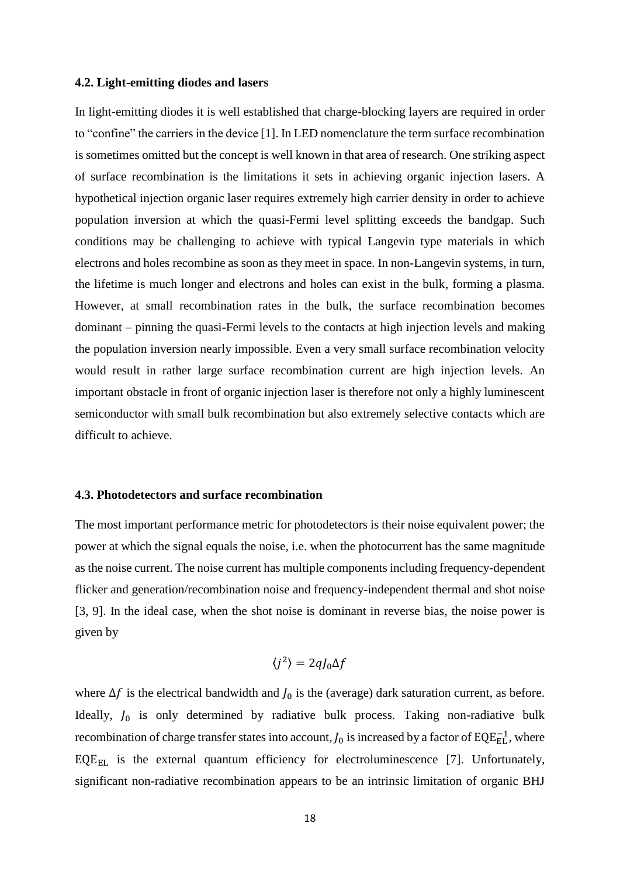### **4.2. Light-emitting diodes and lasers**

In light-emitting diodes it is well established that charge-blocking layers are required in order to "confine" the carriers in the device [1]. In LED nomenclature the term surface recombination is sometimes omitted but the concept is well known in that area of research. One striking aspect of surface recombination is the limitations it sets in achieving organic injection lasers. A hypothetical injection organic laser requires extremely high carrier density in order to achieve population inversion at which the quasi-Fermi level splitting exceeds the bandgap. Such conditions may be challenging to achieve with typical Langevin type materials in which electrons and holes recombine as soon as they meet in space. In non-Langevin systems, in turn, the lifetime is much longer and electrons and holes can exist in the bulk, forming a plasma. However, at small recombination rates in the bulk, the surface recombination becomes dominant – pinning the quasi-Fermi levels to the contacts at high injection levels and making the population inversion nearly impossible. Even a very small surface recombination velocity would result in rather large surface recombination current are high injection levels. An important obstacle in front of organic injection laser is therefore not only a highly luminescent semiconductor with small bulk recombination but also extremely selective contacts which are difficult to achieve.

## **4.3. Photodetectors and surface recombination**

The most important performance metric for photodetectors is their noise equivalent power; the power at which the signal equals the noise, i.e. when the photocurrent has the same magnitude as the noise current. The noise current has multiple components including frequency-dependent flicker and generation/recombination noise and frequency-independent thermal and shot noise [3, 9]. In the ideal case, when the shot noise is dominant in reverse bias, the noise power is given by

$$
\langle j^2 \rangle = 2qJ_0 \Delta f
$$

where  $\Delta f$  is the electrical bandwidth and  $J_0$  is the (average) dark saturation current, as before. Ideally,  $J_0$  is only determined by radiative bulk process. Taking non-radiative bulk recombination of charge transfer states into account,  $J_0$  is increased by a factor of EQE $_{\rm EL}^{-1}$ , where  $EQE_{EL}$  is the external quantum efficiency for electroluminescence [7]. Unfortunately, significant non-radiative recombination appears to be an intrinsic limitation of organic BHJ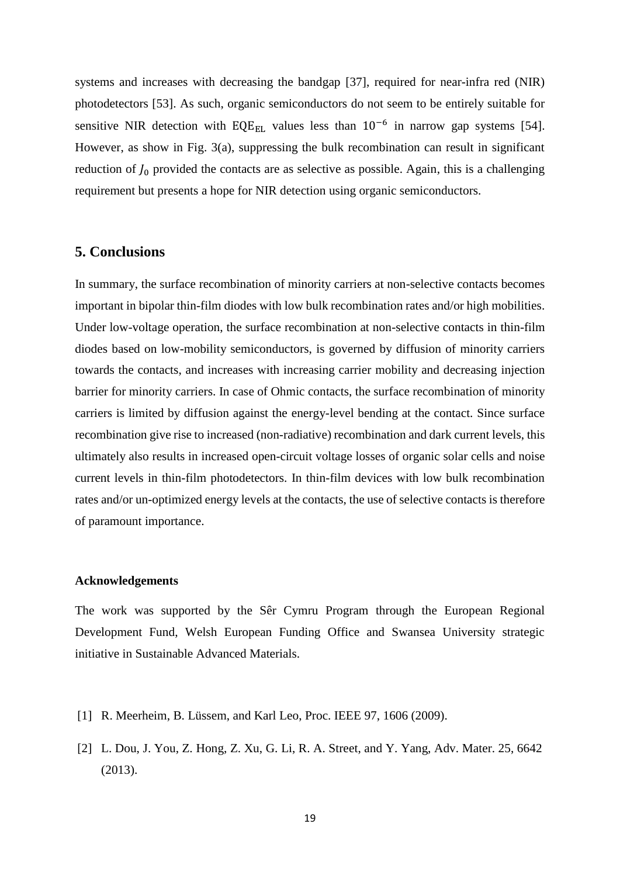systems and increases with decreasing the bandgap [37], required for near-infra red (NIR) photodetectors [53]. As such, organic semiconductors do not seem to be entirely suitable for sensitive NIR detection with  $EQE_{EL}$  values less than  $10^{-6}$  in narrow gap systems [54]. However, as show in Fig. 3(a), suppressing the bulk recombination can result in significant reduction of  $J_0$  provided the contacts are as selective as possible. Again, this is a challenging requirement but presents a hope for NIR detection using organic semiconductors.

## **5. Conclusions**

In summary, the surface recombination of minority carriers at non-selective contacts becomes important in bipolar thin-film diodes with low bulk recombination rates and/or high mobilities. Under low-voltage operation, the surface recombination at non-selective contacts in thin-film diodes based on low-mobility semiconductors, is governed by diffusion of minority carriers towards the contacts, and increases with increasing carrier mobility and decreasing injection barrier for minority carriers. In case of Ohmic contacts, the surface recombination of minority carriers is limited by diffusion against the energy-level bending at the contact. Since surface recombination give rise to increased (non-radiative) recombination and dark current levels, this ultimately also results in increased open-circuit voltage losses of organic solar cells and noise current levels in thin-film photodetectors. In thin-film devices with low bulk recombination rates and/or un-optimized energy levels at the contacts, the use of selective contacts is therefore of paramount importance.

#### **Acknowledgements**

The work was supported by the Sêr Cymru Program through the European Regional Development Fund, Welsh European Funding Office and Swansea University strategic initiative in Sustainable Advanced Materials.

- [1] R. Meerheim, B. Lüssem, and Karl Leo, Proc. IEEE 97, 1606 (2009).
- [2] L. Dou, J. You, Z. Hong, Z. Xu, G. Li, R. A. Street, and Y. Yang, Adv. Mater. 25, 6642 (2013).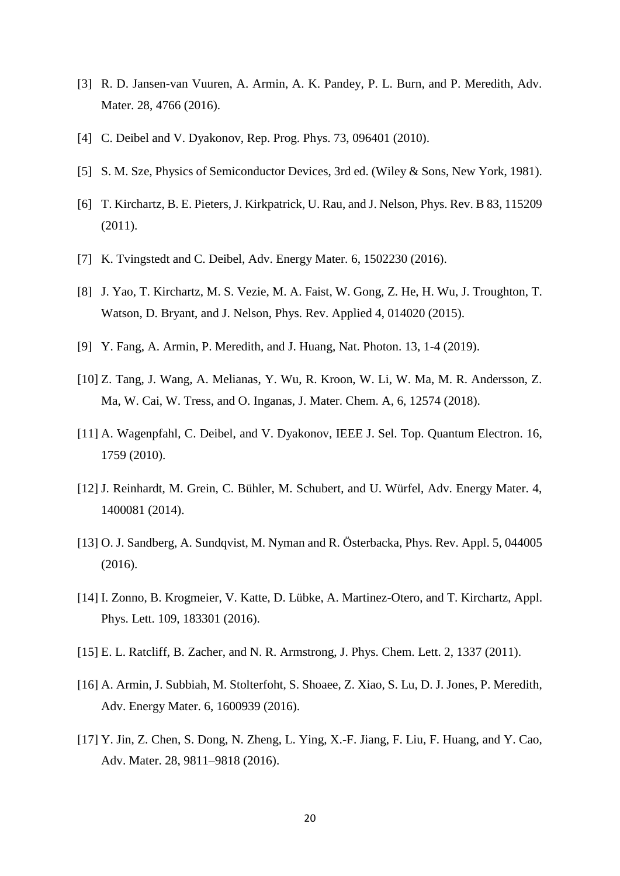- [3] R. D. Jansen-van Vuuren, A. Armin, A. K. Pandey, P. L. Burn, and P. Meredith, Adv. Mater. 28, 4766 (2016).
- [4] C. Deibel and V. Dyakonov, Rep. Prog. Phys. 73, 096401 (2010).
- [5] S. M. Sze, Physics of Semiconductor Devices, 3rd ed. (Wiley & Sons, New York, 1981).
- [6] T. Kirchartz, B. E. Pieters, J. Kirkpatrick, U. Rau, and J. Nelson, Phys. Rev. B 83, 115209 (2011).
- [7] K. Tvingstedt and C. Deibel, Adv. Energy Mater. 6, 1502230 (2016).
- [8] J. Yao, T. Kirchartz, M. S. Vezie, M. A. Faist, W. Gong, Z. He, H. Wu, J. Troughton, T. Watson, D. Bryant, and J. Nelson, Phys. Rev. Applied 4, 014020 (2015).
- [9] Y. Fang, A. Armin, P. Meredith, and J. Huang, Nat. Photon. 13, 1-4 (2019).
- [10] Z. Tang, J. Wang, A. Melianas, Y. Wu, R. Kroon, W. Li, W. Ma, M. R. Andersson, Z. Ma, W. Cai, W. Tress, and O. Inganas, J. Mater. Chem. A, 6, 12574 (2018).
- [11] A. Wagenpfahl, C. Deibel, and V. Dyakonov, IEEE J. Sel. Top. Quantum Electron. 16, 1759 (2010).
- [12] J. Reinhardt, M. Grein, C. Bühler, M. Schubert, and U. Würfel, Adv. Energy Mater. 4, 1400081 (2014).
- [13] O. J. Sandberg, A. Sundqvist, M. Nyman and R. Österbacka, Phys. Rev. Appl. 5, 044005 (2016).
- [14] I. Zonno, B. Krogmeier, V. Katte, D. Lübke, A. Martinez-Otero, and T. Kirchartz, Appl. Phys. Lett. 109, 183301 (2016).
- [15] E. L. Ratcliff, B. Zacher, and N. R. Armstrong, J. Phys. Chem. Lett. 2, 1337 (2011).
- [16] A. Armin, J. Subbiah, M. Stolterfoht, S. Shoaee, Z. Xiao, S. Lu, D. J. Jones, P. Meredith, Adv. Energy Mater. 6, 1600939 (2016).
- [17] Y. Jin, Z. Chen, S. Dong, N. Zheng, L. Ying, X.-F. Jiang, F. Liu, F. Huang, and Y. Cao, Adv. Mater. 28, 9811–9818 (2016).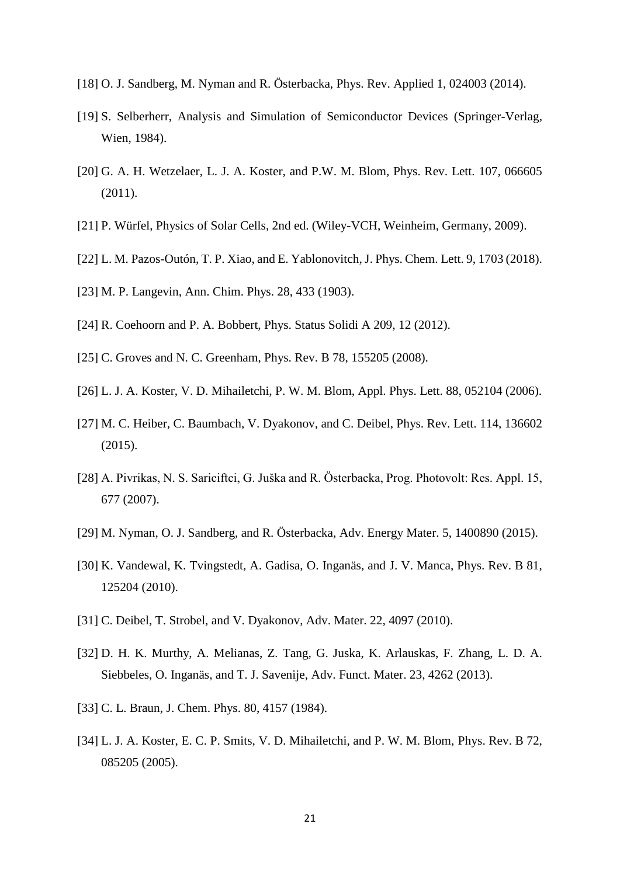- [18] O. J. Sandberg, M. Nyman and R. Österbacka, Phys. Rev. Applied 1, 024003 (2014).
- [19] S. Selberherr, Analysis and Simulation of Semiconductor Devices (Springer-Verlag, Wien, 1984).
- [20] G. A. H. Wetzelaer, L. J. A. Koster, and P.W. M. Blom, Phys. Rev. Lett. 107, 066605 (2011).
- [21] P. Würfel, Physics of Solar Cells, 2nd ed. (Wiley-VCH, Weinheim, Germany, 2009).
- [22] L. M. Pazos-Outón, T. P. Xiao, and E. Yablonovitch, J. Phys. Chem. Lett. 9, 1703 (2018).
- [23] M. P. Langevin, Ann. Chim. Phys. 28, 433 (1903).
- [24] R. Coehoorn and P. A. Bobbert, Phys. Status Solidi A 209, 12 (2012).
- [25] C. Groves and N. C. Greenham, Phys. Rev. B 78, 155205 (2008).
- [26] L. J. A. Koster, V. D. Mihailetchi, P. W. M. Blom, Appl. Phys. Lett. 88, 052104 (2006).
- [27] M. C. Heiber, C. Baumbach, V. Dyakonov, and C. Deibel, Phys. Rev. Lett. 114, 136602 (2015).
- [28] A. Pivrikas, N. S. Sariciftci, G. Juška and R. Österbacka, Prog. Photovolt: Res. Appl. 15, 677 (2007).
- [29] M. Nyman, O. J. Sandberg, and R. Österbacka, Adv. Energy Mater. 5, 1400890 (2015).
- [30] K. Vandewal, K. Tvingstedt, A. Gadisa, O. Inganäs, and J. V. Manca, Phys. Rev. B 81, 125204 (2010).
- [31] C. Deibel, T. Strobel, and V. Dyakonov, Adv. Mater. 22, 4097 (2010).
- [32] D. H. K. Murthy, A. Melianas, Z. Tang, G. Juska, K. Arlauskas, F. Zhang, L. D. A. Siebbeles, O. Inganäs, and T. J. Savenije, Adv. Funct. Mater. 23, 4262 (2013).
- [33] C. L. Braun, J. Chem. Phys. 80, 4157 (1984).
- [34] L. J. A. Koster, E. C. P. Smits, V. D. Mihailetchi, and P. W. M. Blom, Phys. Rev. B 72, 085205 (2005).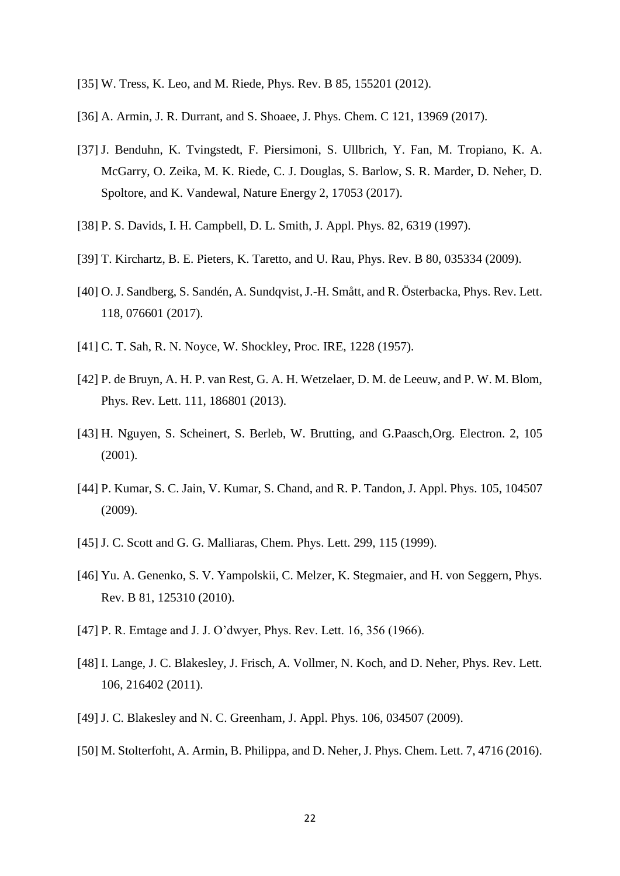- [35] W. Tress, K. Leo, and M. Riede, Phys. Rev. B 85, 155201 (2012).
- [36] A. Armin, J. R. Durrant, and S. Shoaee, J. Phys. Chem. C 121, 13969 (2017).
- [37] J. Benduhn, K. Tvingstedt, F. Piersimoni, S. Ullbrich, Y. Fan, M. Tropiano, K. A. McGarry, O. Zeika, M. K. Riede, C. J. Douglas, S. Barlow, S. R. Marder, D. Neher, D. Spoltore, and K. Vandewal, Nature Energy 2, 17053 (2017).
- [38] P. S. Davids, I. H. Campbell, D. L. Smith, J. Appl. Phys. 82, 6319 (1997).
- [39] T. Kirchartz, B. E. Pieters, K. Taretto, and U. Rau, Phys. Rev. B 80, 035334 (2009).
- [40] O. J. Sandberg, S. Sandén, A. Sundqvist, J.-H. Smått, and R. Österbacka, Phys. Rev. Lett. 118, 076601 (2017).
- [41] C. T. Sah, R. N. Noyce, W. Shockley, Proc. IRE, 1228 (1957).
- [42] P. de Bruyn, A. H. P. van Rest, G. A. H. Wetzelaer, D. M. de Leeuw, and P. W. M. Blom, Phys. Rev. Lett. 111, 186801 (2013).
- [43] H. Nguyen, S. Scheinert, S. Berleb, W. Brutting, and G.Paasch,Org. Electron. 2, 105 (2001).
- [44] P. Kumar, S. C. Jain, V. Kumar, S. Chand, and R. P. Tandon, J. Appl. Phys. 105, 104507 (2009).
- [45] J. C. Scott and G. G. Malliaras, Chem. Phys. Lett. 299, 115 (1999).
- [46] Yu. A. Genenko, S. V. Yampolskii, C. Melzer, K. Stegmaier, and H. von Seggern, Phys. Rev. B 81, 125310 (2010).
- [47] P. R. Emtage and J. J. O'dwyer, Phys. Rev. Lett. 16, 356 (1966).
- [48] I. Lange, J. C. Blakesley, J. Frisch, A. Vollmer, N. Koch, and D. Neher, Phys. Rev. Lett. 106, 216402 (2011).
- [49] J. C. Blakesley and N. C. Greenham, J. Appl. Phys. 106, 034507 (2009).
- [50] M. Stolterfoht, A. Armin, B. Philippa, and D. Neher, J. Phys. Chem. Lett. 7, 4716 (2016).